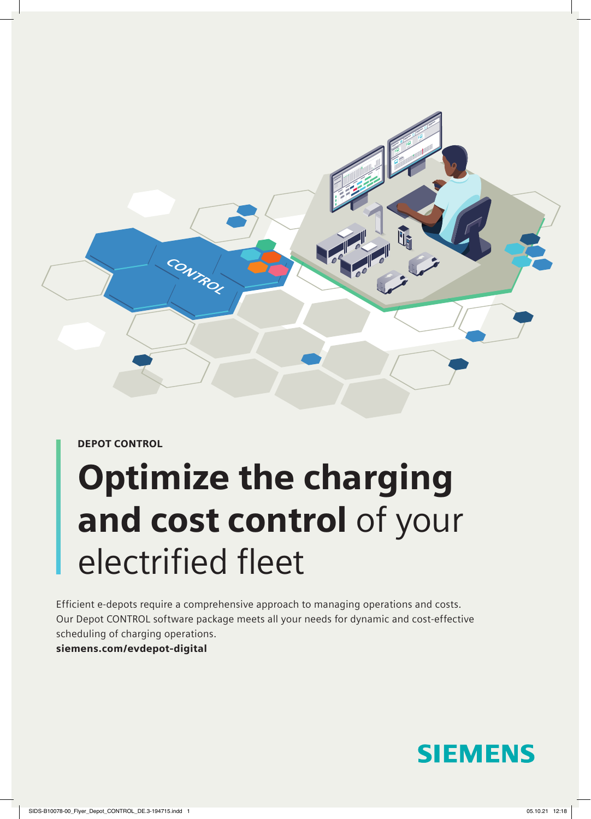

DEPOT CONTROL

# Optimize the charging and cost control of your electrified fleet

Efficient e-depots require a comprehensive approach to managing operations and costs. Our Depot CONTROL software package meets all your needs for dynamic and cost-effective scheduling of charging operations.

#### [siemens.com/evdepot-digital](https://siemens.com/evdepot-digital)

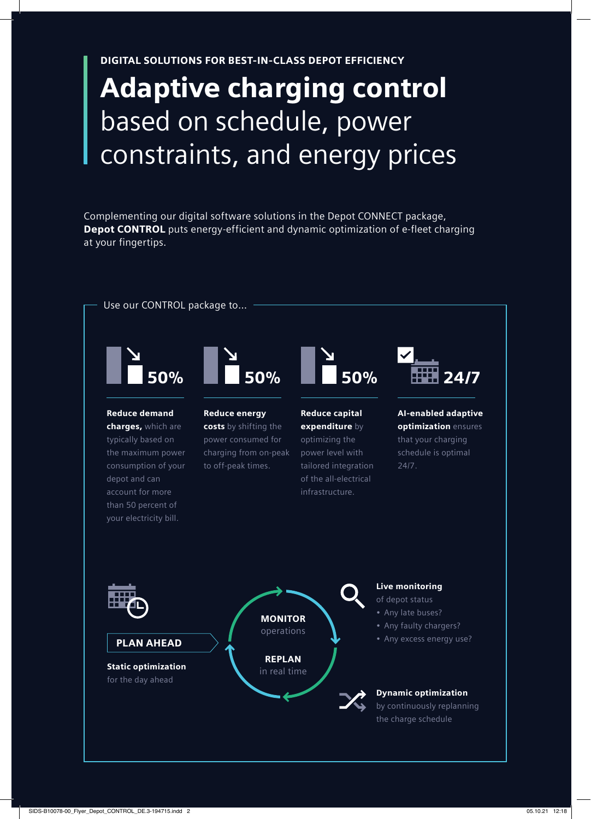DIGITAL SOLUTIONS FOR BEST-IN-CLASS DEPOT EFFICIENCY

## Adaptive charging control based on schedule, power constraints, and energy prices

Complementing our digital software solutions in the Depot CONNECT package, Depot CONTROL puts energy-efficient and dynamic optimization of e-fleet charging at your fingertips.

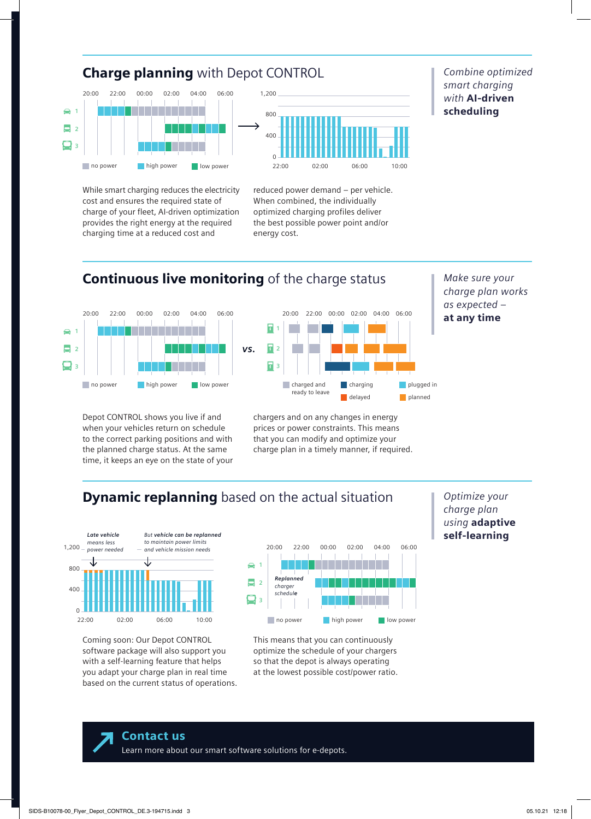

*Combine optimized smart charging with* AI-driven scheduling

While smart charging reduces the electricity cost and ensures the required state of charge of your fleet, AI-driven optimization provides the right energy at the required charging time at a reduced cost and

no power **high power** 

### **Continuous live monitoring of the charge status**

 $\Omega$ 

energy cost.



Depot CONTROL shows you live if and when your vehicles return on schedule to the correct parking positions and with the planned charge status. At the same time, it keeps an eye on the state of your



22:00 02:00 06:00 10:00

reduced power demand – per vehicle. When combined, the individually optimized charging profiles deliver the best possible power point and/or

chargers and on any changes in energy prices or power constraints. This means that you can modify and optimize your charge plan in a timely manner, if required. *Make sure your charge plan works as expected –*  at any time

### **Dynamic replanning** based on the actual situation



Coming soon: Our Depot CONTROL software package will also support you with a self-learning feature that helps you adapt your charge plan in real time based on the current status of operations.



This means that you can continuously optimize the schedule of your chargers so that the depot is always operating at the lowest possible cost/power ratio. *Optimize your charge plan using* adaptive self-learning

Contact us [Learn more about our smart software solutions for e-depots.](mailto:marketing.emobility.si%40siemens.com?subject=)